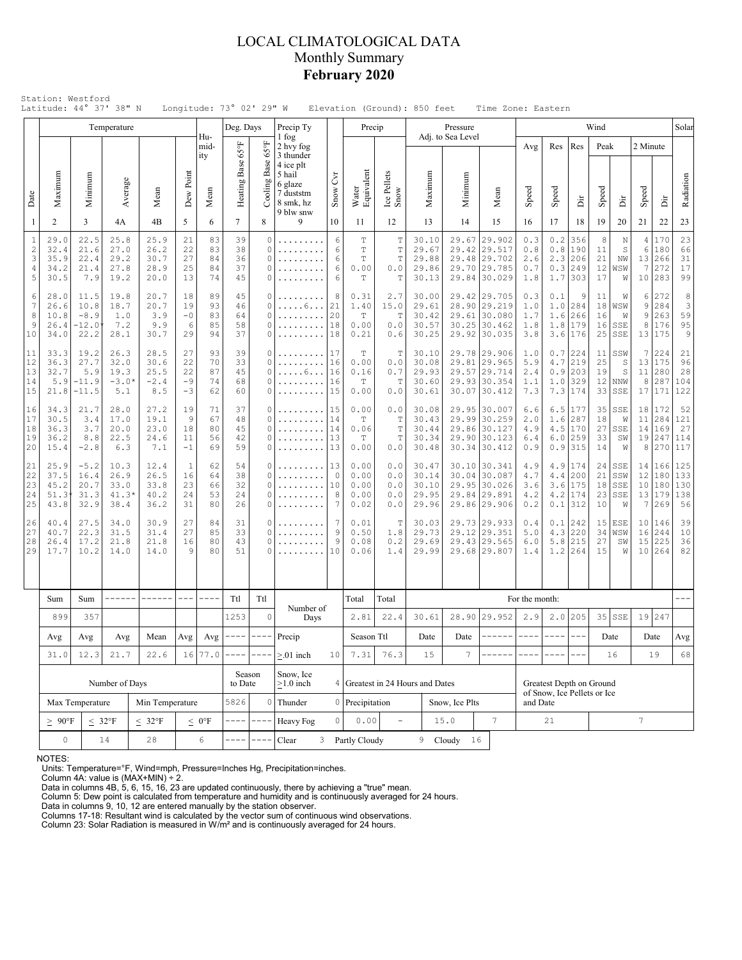# LOCAL CLIMATOLOGICAL DATA Monthly Summary **February 2020**

|                                      | Latitude: 44° 37' 38" N              |                                                                                                                       | Temperature                             |                                       |                                                                                                                                                                                                                                                                                                                                                                                              |                            | Longitude: 73° 02' 29" W<br>Deg. Days |                                                                                                                                                                                                                                                                                                                                                                                              | Precip Ty                                                             |                                             | Elevation (Ground): 850 feet<br>Precip   |                                           |                                           |                                                                                                                              | Pressure                                                                     | Time Zone: Eastern                                                           |                                                         |                                 |                                                 | Wind                           |                                    |                                 |                                    | Solar                          |
|--------------------------------------|--------------------------------------|-----------------------------------------------------------------------------------------------------------------------|-----------------------------------------|---------------------------------------|----------------------------------------------------------------------------------------------------------------------------------------------------------------------------------------------------------------------------------------------------------------------------------------------------------------------------------------------------------------------------------------------|----------------------------|---------------------------------------|----------------------------------------------------------------------------------------------------------------------------------------------------------------------------------------------------------------------------------------------------------------------------------------------------------------------------------------------------------------------------------------------|-----------------------------------------------------------------------|---------------------------------------------|------------------------------------------|-------------------------------------------|-------------------------------------------|------------------------------------------------------------------------------------------------------------------------------|------------------------------------------------------------------------------|------------------------------------------------------------------------------|---------------------------------------------------------|---------------------------------|-------------------------------------------------|--------------------------------|------------------------------------|---------------------------------|------------------------------------|--------------------------------|
|                                      |                                      |                                                                                                                       |                                         |                                       |                                                                                                                                                                                                                                                                                                                                                                                              | Hu-<br>mid-<br>ity         |                                       | $65^{\circ}$ F                                                                                                                                                                                                                                                                                                                                                                               | 1 fog<br>2 hvy fog<br>3 thunder                                       |                                             |                                          |                                           |                                           |                                                                                                                              | Adj. to Sea Level                                                            |                                                                              | Avg                                                     | Res                             | Res                                             | Peak                           |                                    | 2 Minute                        |                                    |                                |
| Date                                 | Maximum                              | Minimum                                                                                                               | Average                                 | Mean                                  | Dew Point                                                                                                                                                                                                                                                                                                                                                                                    | Mean                       | Heating Base 65°F                     | Base<br>Cooling 1                                                                                                                                                                                                                                                                                                                                                                            | 4 ice plt<br>5 hail<br>6 glaze<br>7 duststm<br>8 smk, hz<br>9 blw snw | Čч<br>Snow                                  | Water<br>Equivalent                      | Ice Pellets<br>Snow                       | Maximum                                   |                                                                                                                              | Minimum                                                                      | Mean                                                                         | Speed                                                   | Speed                           | ă                                               | Speed                          | ă                                  | Speed                           | ă                                  | Radiation                      |
| 1                                    | $\overline{2}$                       | 3                                                                                                                     | 4A                                      | 4B                                    | 5                                                                                                                                                                                                                                                                                                                                                                                            | 6                          | $7\overline{ }$                       | 8                                                                                                                                                                                                                                                                                                                                                                                            | 9                                                                     | 10                                          | 11                                       | 12                                        | 13                                        |                                                                                                                              | 14                                                                           | 15                                                                           | 16                                                      | 17                              | 18                                              | 19                             | 20                                 | 21                              | 22                                 | 23                             |
| $\,1\,$<br>$\sqrt{2}$<br>3<br>4<br>5 | 29.0<br>32.4<br>35.9<br>34.2<br>30.5 | 22.5<br>21.6<br>22.4<br>21.4<br>7.9                                                                                   | 25.8<br>27.0<br>29.2<br>27.8<br>19.2    | 25.9<br>26.2<br>30.7<br>28.9<br>20.0  | 21<br>22<br>27<br>25<br>13                                                                                                                                                                                                                                                                                                                                                                   | 83<br>83<br>84<br>84<br>74 | 39<br>38<br>36<br>37<br>45            | 0<br>0<br>0<br>$\Omega$<br>0                                                                                                                                                                                                                                                                                                                                                                 | .<br>.                                                                | 6<br>6<br>6<br>6<br>6                       | T<br>T<br>T<br>0.00<br>Т                 | T<br>T<br>T<br>0.0<br>T                   |                                           | 29.67 29.902<br>30.10<br>29.67<br>29.42 29.517<br>29.88<br>29.48 29.702<br>29.86<br>29.785<br>29.70<br>30.13<br>29.84 30.029 |                                                                              |                                                                              | 0.3<br>0.8<br>2.6<br>0.7<br>1.8                         | 0.2<br>0.8<br>2.3<br>0.3<br>1.7 | 356<br>190<br>206<br>249<br>303                 | 8<br>11<br>21<br>12<br>17      | N<br>$\mathbb S$<br>NW<br>WSW<br>W | 4<br>6<br>13 <br>7<br>10        | 170<br>180<br>266<br>272<br>283    | 23<br>66<br>31<br>17<br>99     |
| 6<br>7<br>8<br>9<br>10               | 28.0<br>26.6<br>10.8<br>26.4<br>34.0 | 19.8<br>20.7<br>11.5<br>10.8<br>18.7<br>20.7<br>$-8.9$<br>3.9<br>1.0<br>$-12.0$<br>7.2<br>9.9<br>22.2<br>30.7<br>28.1 |                                         | 18<br>19<br>$-0$<br>6<br>29           | 89<br>93<br>83<br>85<br>94                                                                                                                                                                                                                                                                                                                                                                   | 45<br>46<br>64<br>58<br>37 | 0<br>$\Omega$<br>$\Omega$<br>0<br>0   | . 6<br>.<br>.                                                                                                                                                                                                                                                                                                                                                                                | 8<br>21<br>20<br>18<br>18                                             | 0.31<br>1.40<br>$\mathbb T$<br>0.00<br>0.21 | 2.7<br>15.0<br>$\mathbb T$<br>0.0<br>0.6 | 30.00<br>29.61<br>30.42<br>30.57<br>30.25 |                                           |                                                                                                                              | 29.42 29.705<br>28.90 29.219<br>29.61 30.080<br>30.25 30.462<br>29.92 30.035 | 0.3<br>1.0<br>1.7<br>1.8<br>3.8                                              | 0.1<br>1.0<br>1.6<br>1.8<br>3.6                         | 9<br>284<br>266<br>179<br>176   | 11<br>16<br>16<br>25                            | W<br>18 WSW<br>W<br>SSE<br>SSE | 6<br>9<br>9<br>8<br>13             | 272<br>284<br>263<br>176<br>175 | 8<br>3<br>59<br>95<br>9            |                                |
| 11<br>12<br>13<br>14<br>15           | 33.3<br>36.3<br>32.7<br>5.9<br>21.8  | 19.2<br>27.7<br>5.9<br>$-11.9$<br>$-11.5$                                                                             | 26.3<br>32.0<br>19.3<br>$-3.0*$<br>5.1  | 28.5<br>30.6<br>25.5<br>$-2.4$<br>8.5 | 27<br>22<br>22<br>$-9$<br>-3                                                                                                                                                                                                                                                                                                                                                                 | 93<br>70<br>87<br>74<br>62 | 39<br>33<br>45<br>68<br>60            | 0<br>0<br>0<br>0<br>0                                                                                                                                                                                                                                                                                                                                                                        | .<br>. 6<br>.<br>.                                                    | 17<br>16<br>16<br>16<br>15                  | Т<br>0.00<br>0.16<br>Т<br>0.00           | Т<br>0.0<br>0.7<br>Т<br>0.0               | 30.10<br>30.08<br>29.93<br>30.60<br>30.61 |                                                                                                                              |                                                                              | 29.78 29.906<br>29.81 29.965<br>29.57 29.714<br>29.93 30.354<br>30.07 30.412 | 1.0<br>5.9<br>2.4<br>1.1<br>7.3                         | 4.7<br>0.9<br>1.0               | $0.7$   224<br>219<br>203<br>329<br>$7.3$   174 | 11<br>25<br>19<br>33           | SSW<br>S<br>S<br>$12$ NNW<br>SSE   | 7<br>13<br>11<br>8<br>17        | 224<br>175<br>280<br>287<br>171    | 21<br>96<br>28<br>104<br>122   |
| 16<br>17<br>18<br>19<br>20           | 34.3<br>30.5<br>36.3<br>36.2<br>15.4 | 21.7<br>3.4<br>3.7<br>8.8<br>$-2.8$                                                                                   | 28.0<br>17.0<br>20.0<br>22.5<br>6.3     | 27.2<br>19.1<br>23.0<br>24.6<br>7.1   | 19<br>9<br>18<br>11<br>$-1$                                                                                                                                                                                                                                                                                                                                                                  | 71<br>67<br>80<br>56<br>69 | 37<br>48<br>45<br>42<br>59            | 0<br>0<br>$\Omega$<br>0<br>0                                                                                                                                                                                                                                                                                                                                                                 | .<br>.                                                                | 15<br>14<br>14<br>13<br>13                  | 0.00<br>Т<br>0.06<br>Т<br>0.00           | 0.0<br>Т<br>T<br>T<br>0.0                 | 30.08<br>30.43<br>30.44<br>30.34<br>30.48 |                                                                                                                              |                                                                              | 29.95 30.007<br>29.99 30.259<br>29.86 30.127<br>29.90 30.123<br>30.34 30.412 | 6.6<br>2.0<br>4.9<br>6.4<br>0.9                         | 6.5<br>1.6<br>4.5<br>6.0        | 177<br>287<br>170<br>259<br>$0.9$   315         | 35<br>18<br>27<br>33<br>14     | SSE<br>W<br>SSE<br>SW<br>W         | 18<br>11<br>14<br>19<br>8       | 172<br>284<br>169<br>247<br>270    | 52<br>121<br>27<br>114<br>117  |
| 21<br>22<br>23<br>24<br>25           | 25.9<br>37.5<br>45.2<br>51.3<br>43.8 | $-5.2$<br>16.4<br>20.7<br>31.3<br>32.9                                                                                | 10.3<br>26.9<br>33.0<br>$41.3*$<br>38.4 | 12.4<br>26.5<br>33.8<br>40.2<br>36.2  | 1<br>16<br>23<br>24<br>31                                                                                                                                                                                                                                                                                                                                                                    | 62<br>64<br>66<br>53<br>80 | 54<br>38<br>32<br>24<br>26            | 0<br>$\Omega$<br>0<br>0<br>0                                                                                                                                                                                                                                                                                                                                                                 | .<br>.                                                                | 13<br>$\circ$<br>10<br>8<br>7               | 0.00<br>0.00<br>0.00<br>0.00<br>0.02     | 0.0<br>0.0<br>0.0<br>0.0<br>0.0           | 30.47<br>30.14<br>30.10<br>29.95<br>29.96 |                                                                                                                              |                                                                              | 30.10 30.341<br>30.04 30.087<br>29.95 30.026<br>29.84 29.891<br>29.86 29.906 | 4.9<br>4.7<br>3.6<br>4.2<br>0.2                         | 4.9<br>4.4<br>3.6<br>4.2        | 174<br>200<br>175<br>174<br>$0.1$   312         | 24<br>21<br>18<br>23<br>10     | SSE<br>SSW<br>SSE<br>SSE<br>W      | 12<br>10<br>13 <br>7            | 14 166<br>180<br>180<br>179<br>269 | 125<br>133<br>130<br>138<br>56 |
| 26<br>27<br>28<br>29                 | 40.4<br>40.7<br>26.4<br>17.7         | 27.5<br>34.0<br>22.3<br>31.5<br>17.2<br>21.8<br>10.2<br>14.0                                                          |                                         | 30.9<br>31.4<br>21.8<br>14.0          | 27<br>27<br>16<br>9                                                                                                                                                                                                                                                                                                                                                                          | 84<br>85<br>80<br>80       | 31<br>33<br>43<br>51                  | 0<br>0<br>$\Omega$<br>0                                                                                                                                                                                                                                                                                                                                                                      | .                                                                     | 7<br>$\overline{9}$<br>9<br>10              | 0.01<br>0.50<br>0.08<br>0.06             | T<br>1.8<br>0.2<br>1.4                    | 30.03<br>29.73<br>29.69<br>29.99          |                                                                                                                              |                                                                              | 29.73 29.933<br>29.12 29.351<br>29.43 29.565<br>29.68 29.807                 | 0.4<br>5.0<br>6.0<br>1.4                                | 0.1<br>4.3<br>5.8<br>1.2        | 242<br>220<br>215<br>264                        | 15<br>34<br>27<br>15           | ESE<br>WSW<br>SW<br>W              | 10<br>16<br>15<br>10            | 146<br>244<br>225<br>264           | 39<br>10<br>36<br>82           |
|                                      | Sum                                  |                                                                                                                       | ------                                  | ------                                | $\frac{1}{2} \frac{1}{2} \frac{1}{2} \frac{1}{2} \frac{1}{2} \frac{1}{2} \frac{1}{2} \frac{1}{2} \frac{1}{2} \frac{1}{2} \frac{1}{2} \frac{1}{2} \frac{1}{2} \frac{1}{2} \frac{1}{2} \frac{1}{2} \frac{1}{2} \frac{1}{2} \frac{1}{2} \frac{1}{2} \frac{1}{2} \frac{1}{2} \frac{1}{2} \frac{1}{2} \frac{1}{2} \frac{1}{2} \frac{1}{2} \frac{1}{2} \frac{1}{2} \frac{1}{2} \frac{1}{2} \frac{$ | $- - - -$                  | Ttl                                   | Ttl                                                                                                                                                                                                                                                                                                                                                                                          |                                                                       |                                             | Total                                    | Total                                     |                                           |                                                                                                                              |                                                                              |                                                                              | For the month:                                          |                                 |                                                 |                                |                                    |                                 |                                    |                                |
|                                      | 899                                  | Sum<br>357                                                                                                            |                                         |                                       |                                                                                                                                                                                                                                                                                                                                                                                              |                            | 1253                                  | $\circ$                                                                                                                                                                                                                                                                                                                                                                                      | Number of<br>Days                                                     |                                             | 2.81                                     | 22.4                                      | 30.61                                     |                                                                                                                              |                                                                              | 28.90 29.952                                                                 | 2.9                                                     |                                 | $2.0$   205                                     |                                | $35$ SSE                           |                                 | 19 247                             |                                |
|                                      | Avg                                  | Avg                                                                                                                   | Avg                                     | Mean                                  | Avg                                                                                                                                                                                                                                                                                                                                                                                          | Avg                        | $--- -$                               | $\frac{1}{2} \frac{1}{2} \frac{1}{2} \frac{1}{2} \frac{1}{2} \frac{1}{2} \frac{1}{2} \frac{1}{2} \frac{1}{2} \frac{1}{2} \frac{1}{2} \frac{1}{2} \frac{1}{2} \frac{1}{2} \frac{1}{2} \frac{1}{2} \frac{1}{2} \frac{1}{2} \frac{1}{2} \frac{1}{2} \frac{1}{2} \frac{1}{2} \frac{1}{2} \frac{1}{2} \frac{1}{2} \frac{1}{2} \frac{1}{2} \frac{1}{2} \frac{1}{2} \frac{1}{2} \frac{1}{2} \frac{$ | Precip                                                                |                                             | Season Ttl                               |                                           | Date                                      |                                                                                                                              | Date                                                                         | ------                                                                       | $- - - - -$                                             | $\frac{1}{2}$                   | $- - -$                                         |                                | Date                               |                                 | Date                               | Avg                            |
|                                      | 31.0                                 | 12.3                                                                                                                  | 21.7                                    | 22.6                                  |                                                                                                                                                                                                                                                                                                                                                                                              | 16 77.0                    |                                       |                                                                                                                                                                                                                                                                                                                                                                                              | $> 01$ inch                                                           | 10                                          | 7.31                                     | 76.3                                      | 15                                        |                                                                                                                              | 7                                                                            |                                                                              |                                                         |                                 |                                                 |                                | 16                                 |                                 | 19                                 | 68                             |
|                                      |                                      |                                                                                                                       | Number of Days                          |                                       |                                                                                                                                                                                                                                                                                                                                                                                              | Season<br>to Date          |                                       | Snow, Ice<br>$\geq$ 1.0 inch                                                                                                                                                                                                                                                                                                                                                                 |                                                                       | 4 Greatest in 24 Hours and Dates            |                                          |                                           |                                           |                                                                                                                              |                                                                              |                                                                              | Greatest Depth on Ground<br>of Snow, Ice Pellets or Ice |                                 |                                                 |                                |                                    |                                 |                                    |                                |
|                                      |                                      | Max Temperature                                                                                                       |                                         | Min Temperature                       |                                                                                                                                                                                                                                                                                                                                                                                              |                            | 5826                                  | 0                                                                                                                                                                                                                                                                                                                                                                                            | Thunder                                                               |                                             | 0 Precipitation                          |                                           |                                           |                                                                                                                              | Snow, Ice Plts                                                               |                                                                              | and Date                                                |                                 |                                                 |                                |                                    |                                 |                                    |                                |
|                                      | $\geq~90^{\circ}\rm{F}$              | $< 32^{\circ}F$                                                                                                       |                                         | $\leq 0$ °F                           |                                                                                                                                                                                                                                                                                                                                                                                              |                            | Heavy Fog                             | $\circ$                                                                                                                                                                                                                                                                                                                                                                                      | 0.00                                                                  | $\overline{\phantom{a}}$                    |                                          | 15.0                                      |                                           | $\overline{7}$                                                                                                               |                                                                              | 21                                                                           |                                                         |                                 |                                                 | $\overline{7}$                 |                                    |                                 |                                    |                                |
|                                      | $\circ$<br>$2\,8$<br>14              |                                                                                                                       |                                         |                                       |                                                                                                                                                                                                                                                                                                                                                                                              | 6                          |                                       |                                                                                                                                                                                                                                                                                                                                                                                              | Clear                                                                 |                                             | 3 Partly Cloudy                          |                                           |                                           | 9 Cloudy                                                                                                                     | 16                                                                           |                                                                              |                                                         |                                 |                                                 |                                |                                    |                                 |                                    |                                |

NOTES:

Units: Temperature=°F, Wind=mph, Pressure=Inches Hg, Precipitation=inches. Column 4A: value is (MAX+MIN) ÷ 2. Data in columns 4B, 5, 6, 15, 16, 23 are updated continuously, there by achieving a "true" mean.

Column 5: Dew point is calculated from temperature and humidity and is continuously averaged for 24 hours. Data in columns 9, 10, 12 are entered manually by the station observer.

Columns 17-18: Resultant wind is calculated by the vector sum of continuous wind observations. Column 23: Solar Radiation is measured in W/m² and is continuously averaged for 24 hours.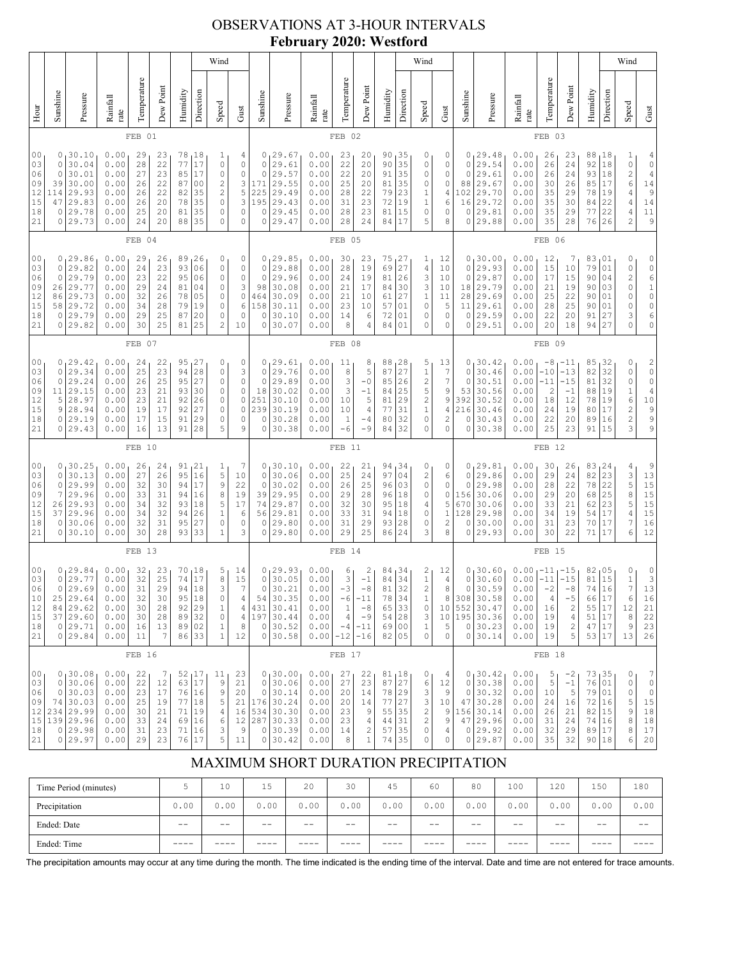# OBSERVATIONS AT 3-HOUR INTERVALS **February 2020: Westford**

|                                              |                                              |                                                                                 |                                                              |                                              |                                              |                                              |                                                                                                | Wind                                                                                                |                                                                             |                                                           |                                                                                 |                                                              |                                                                |                                                                                    |                                                 |                                                  | Wind                                                                              |                                                  |                                                                    |                                                                           |                                                              |                                                     |                                                                               |                                                          |                                                           | Wind                                                                                        |                                                                                                           |
|----------------------------------------------|----------------------------------------------|---------------------------------------------------------------------------------|--------------------------------------------------------------|----------------------------------------------|----------------------------------------------|----------------------------------------------|------------------------------------------------------------------------------------------------|-----------------------------------------------------------------------------------------------------|-----------------------------------------------------------------------------|-----------------------------------------------------------|---------------------------------------------------------------------------------|--------------------------------------------------------------|----------------------------------------------------------------|------------------------------------------------------------------------------------|-------------------------------------------------|--------------------------------------------------|-----------------------------------------------------------------------------------|--------------------------------------------------|--------------------------------------------------------------------|---------------------------------------------------------------------------|--------------------------------------------------------------|-----------------------------------------------------|-------------------------------------------------------------------------------|----------------------------------------------------------|-----------------------------------------------------------|---------------------------------------------------------------------------------------------|-----------------------------------------------------------------------------------------------------------|
| Hour                                         | Sunshine                                     | Pressure                                                                        | Rainfall<br>rate                                             | Temperature                                  | Dew Point                                    | Humidity                                     | Direction                                                                                      | Speed                                                                                               | Gust                                                                        | Sunshine                                                  | Pressure                                                                        | Rainfall<br>rate                                             | Temperature                                                    | Dew Point                                                                          | Humidity                                        | Direction                                        | Speed                                                                             | Gust                                             | Sunshine                                                           | Pressure                                                                  | Rainfall<br>rate                                             | Temperature                                         | Dew Point                                                                     | Humidity                                                 | Direction                                                 | Speed                                                                                       | Gust                                                                                                      |
|                                              |                                              |                                                                                 |                                                              | FEB 01                                       |                                              |                                              |                                                                                                |                                                                                                     |                                                                             |                                                           |                                                                                 |                                                              | FEB 02                                                         |                                                                                    |                                                 |                                                  |                                                                                   |                                                  |                                                                    |                                                                           |                                                              | FEB 03                                              |                                                                               |                                                          |                                                           |                                                                                             |                                                                                                           |
| 00<br>03<br>06<br>09<br>12<br>15<br>18<br>21 | 0<br>0<br>0<br>39<br>114<br>47<br>0<br>0     | 30.10<br>30.04<br>30.01<br>30.00<br>29.93<br>29.83<br>29.78<br>29.73            | 0.00<br>0.00<br>0.00<br>0.00<br>0.00<br>0.00<br>0.00<br>0.00 | 29<br>28<br>27<br>26<br>26<br>26<br>25<br>24 | 23<br>22<br>23<br>22<br>22<br>20<br>20<br>20 | 78<br>77<br>85<br>87<br>82<br>78<br>81<br>88 | 18<br>$17$<br>17<br>0 <sub>0</sub><br>35<br>35<br>35<br>35                                     | 1<br>$\circ$<br>0<br>$\overline{\mathbf{c}}$<br>$\overline{c}$<br>$\circ$<br>$\circ$<br>$\mathbf 0$ | 4<br>$\mathbb O$<br>$\mathbb O$<br>$\frac{3}{5}$<br>3<br>$\circ$<br>$\circ$ | 0<br>0<br>0<br>171<br>225<br>195<br>0<br>0                | 29.67<br>29.61<br>29.57<br>29.55<br>29.49<br>29.43<br>29.45<br>29.47            | 0.00<br>0.00<br>0.00<br>0.00<br>0.00<br>0.00<br>0.00<br>0.00 | 23<br>22<br>22<br>25<br>28<br>31<br>28<br>28                   | 20<br>20<br>20<br>20<br>22<br>23<br>23<br>24                                       | 90<br>90<br>91<br>81<br>79<br>72<br>81<br>84    | 35<br>35<br>35<br>35<br>23<br>19<br>15<br>17     | 0<br>0<br>0<br>0<br>1<br>$\mathbf 1$<br>0<br>5                                    | 0<br>0<br>0<br>0<br>4<br>6<br>0<br>8             | 0<br>0<br>0<br>88<br>102<br>16<br>0<br>0                           | 29.48<br>29.54<br>29.61<br>29.67<br>29.70<br>29.72<br>29.81<br>29.88      | 0.00<br>0.00<br>0.00<br>0.00<br>0.00<br>0.00<br>0.00<br>0.00 | 26<br>26<br>26<br>30<br>35<br>35<br>35<br>35        | 23<br>24<br>24<br>26<br>29<br>30<br>29<br>28                                  | 88<br>92<br>93<br>85<br>78<br>84<br>77<br>76             | <sub>1</sub> 18<br>18<br>18<br>17<br>19<br>22<br>22<br>26 | $\mathbf{1}$<br>0<br>$\overline{\mathbf{c}}$<br>6<br>4<br>$\sqrt{4}$<br>4<br>$\overline{c}$ | 4<br>$\mathbb O$<br>$\sqrt{4}$<br>$\begin{array}{c} 14 \\ 9 \end{array}$<br>14<br>$1\,1$<br>9             |
|                                              |                                              |                                                                                 |                                                              | FEB 04                                       |                                              |                                              |                                                                                                |                                                                                                     |                                                                             |                                                           |                                                                                 |                                                              | FEB 05                                                         |                                                                                    |                                                 |                                                  |                                                                                   |                                                  |                                                                    |                                                                           |                                                              | FEB 06                                              |                                                                               |                                                          |                                                           |                                                                                             |                                                                                                           |
| 00<br>03<br>06<br>09<br>12<br>15<br>18<br>21 | 0<br>$\mathbb O$<br>26<br>86<br>58<br>0<br>0 | 0, 29.86<br>29.82<br>29.79<br>29.77<br>29.73<br>29.72<br>29.79<br>29.82         | 0.00<br>0.00<br>0.00<br>0.00<br>0.00<br>0.00<br>0.00<br>0.00 | 29<br>24<br>23<br>29<br>32<br>34<br>29<br>30 | 26<br>23<br>22<br>24<br>26<br>28<br>25<br>25 | 89<br>93<br>95<br>81<br>78<br>79<br>87<br>81 | 26<br>06<br>06<br>04<br>05<br>19<br>20<br>25                                                   | 0<br>$\circ$<br>0<br>0<br>$\circ$<br>$\circ$<br>0<br>$\overline{2}$                                 | 0<br>0<br>0<br>3<br>$\mathbb O$<br>6<br>$\circ$<br>10                       | 0<br>$\circ$<br>$\mathbf 0$<br>98<br>464<br>158<br>0<br>0 | 29.85<br>29.88<br>29.96<br>30.08<br>30.09<br>30.11<br>30.10<br>30.07            | 0.00<br>0.00<br>0.00<br>0.00<br>0.00<br>0.00<br>0.00<br>0.00 | 30<br>28<br>24<br>21<br>21<br>23<br>14<br>8                    | 23<br>19<br>19<br>17<br>10<br>10<br>6<br>$\overline{4}$                            | 75<br>69<br>81<br>84<br>61<br>57<br>72<br>84    | 27<br>27<br>26<br>30<br>27<br>01<br>01<br>01     | 1<br>4<br>3<br>3<br>$\,1$<br>$\circ$<br>0<br>0                                    | 12<br>10<br>10<br>10<br>11<br>5<br>0<br>0        | 0<br>0<br>0<br>18<br>28<br>11<br>0<br>0                            | 30.00<br>29.93<br>29.87<br>29.79<br>29.69<br>29.61<br>29.59<br>29.51      | 0.00<br>0.00<br>0.00<br>0.00<br>0.00<br>0.00<br>0.00<br>0.00 | 12<br>15<br>17<br>21<br>25<br>28<br>22<br>20        | 7<br>10<br>15<br>19<br>22<br>25<br>20<br>18                                   | 83<br>79<br>90<br>90<br>90<br>90<br>91<br>94             | 01<br>01<br>04<br>03<br>01<br>01<br>27<br>27              | 0<br>0<br>2<br>0<br>0<br>0<br>3<br>0                                                        | 0<br>$\mathbb O$<br>6<br>$\begin{matrix} 1 \\ 0 \end{matrix}$<br>$\mathbb O$<br>$\epsilon$<br>$\mathbb O$ |
|                                              | FEB 07                                       |                                                                                 |                                                              |                                              |                                              |                                              |                                                                                                |                                                                                                     |                                                                             |                                                           |                                                                                 | FEB 08                                                       |                                                                |                                                                                    |                                                 |                                                  |                                                                                   |                                                  |                                                                    |                                                                           | FEB 09                                                       |                                                     |                                                                               |                                                          |                                                           |                                                                                             |                                                                                                           |
| 00<br>03<br>06<br>09<br>12<br>15<br>18<br>21 | $\circ$<br>0<br>11<br>5<br>9<br>0<br>0       | 0, 29.42<br>29.34<br>29.24<br>29.15<br>28.97<br>28.94<br>29.19<br>29.43         | 0.00<br>0.00<br>0.00<br>0.00<br>0.00<br>0.00<br>0.00<br>0.00 | 24<br>25<br>26<br>23<br>23<br>19<br>17<br>16 | 22<br>23<br>25<br>21<br>21<br>17<br>15<br>13 | 95<br>94<br>95<br>93<br>92<br>92<br>91<br>91 | 27<br>28<br>27<br>30<br>26<br>27<br>29<br>28                                                   | 0<br>0<br>$\circ$<br>0<br>$\circ$<br>$\circ$<br>0<br>5                                              | 0<br>3<br>$\circ$<br>$\mathbb O$<br>$\mathbb O$<br>$\circ$<br>$\circ$<br>9  | 0<br>$\mathbf 0$<br>0<br>18<br>251<br>239<br>0<br>0       | 39.61  <br>29.76<br>29.89<br>30.02<br>30.10<br>30.19<br>30.28<br>30.38          | 0.00<br>0.00<br>0.00<br>0.00<br>0.00<br>0.00<br>0.00<br>0.00 | 11<br>8<br>3<br>3<br>10<br>10<br>$1\,$<br>-6                   | 8<br>5<br>$-0$<br>$-1$<br>5<br>$\overline{4}$<br>$-4$<br>$-9$                      | 88<br>87<br>85<br>84<br>81<br>77<br>80<br>84    | 28 ر<br>27<br>26<br>25<br>29<br>31<br>32<br>32   | 5<br>1<br>$\overline{c}$<br>5<br>$\overline{\mathcal{L}}$<br>$\,1$<br>0<br>0      | 13<br>7<br>7<br>9<br>9<br>4<br>$\mathbf{2}$<br>0 | 0<br>0<br>0<br>53<br>392<br>216<br>0<br>0                          | 30.42<br>30.46<br>30.51<br>30.56<br>30.52<br>30.46<br>30.43<br>30.38      | 0.00<br>0.00<br>0.00<br>0.00<br>0.00<br>0.00<br>0.00<br>0.00 | $-8$<br>$-10$<br>$-11$<br>2<br>18<br>24<br>22<br>25 | 11– ا<br>$-13$<br>$-15$<br>$-1$<br>12<br>19<br>20<br>23                       | 85<br>82<br>81<br>88<br>78<br>80<br>89<br>91             | 32<br>32<br>32<br>19<br>19<br>17<br>16<br>15              | 0<br>0<br>0<br>$\mathbf{1}$<br>6<br>$\overline{c}$<br>$\overline{\mathbf{c}}$<br>3          | $\overline{\mathbf{c}}$<br>$\circ$<br>$\mathsf{O}\xspace$<br>$\overline{4}$<br>$10$<br>9<br>9<br>9        |
|                                              |                                              |                                                                                 |                                                              | FEB 10                                       |                                              |                                              |                                                                                                |                                                                                                     |                                                                             |                                                           |                                                                                 |                                                              | FEB 11                                                         |                                                                                    |                                                 |                                                  |                                                                                   |                                                  |                                                                    |                                                                           |                                                              | FEB <sub>12</sub>                                   |                                                                               |                                                          |                                                           |                                                                                             |                                                                                                           |
| 00<br>03<br>06<br>09<br>12<br>15<br>18<br>21 | 0<br>0<br>7<br>26<br>37<br>0<br>0            | 0, 30.25<br>30.13<br>29.99<br>29.96<br>29.93<br>29.96<br>30.06<br>30.10         | 0.00<br>0.00<br>0.00<br>0.00<br>0.00<br>0.00<br>0.00<br>0.00 | 26<br>27<br>32<br>33<br>34<br>34<br>32<br>30 | 24<br>26<br>30<br>31<br>32<br>32<br>31<br>28 | 95<br>94<br>94<br>93<br>94<br>95<br>93       | 91,21<br>16<br>17<br>16<br>18<br>26<br>27<br>33                                                | $\mathbf{1}$<br>5<br>$\mathsf 9$<br>8<br>5<br>$\mathbf{1}$<br>$\circ$<br>1                          | 7<br>10<br>22<br>19<br>17<br>6<br>$\circ$<br>3                              | 0<br>$\circ$<br>0<br>39<br>74<br>56<br>0<br>0             | 30.10<br>30.06<br>30.02<br>29.95<br>29.87<br>29.81<br>29.80<br>29.80            | 0.00<br>0.00<br>0.00<br>0.00<br>0.00<br>0.00<br>0.00<br>0.00 | 22<br>25<br>26<br>29<br>32<br>33<br>31<br>29                   | 21<br>24<br>25<br>28<br>30<br>31<br>29<br>25                                       | 94,34<br>97<br>96<br>96<br>95<br>94<br>93<br>86 | 04<br>03<br>18<br>18<br>18<br>28<br>24           | 0<br>2<br>0<br>0<br>4<br>0<br>0<br>3                                              | 0<br>6<br>0<br>0<br>5<br>1<br>2<br>8             | 0<br>0<br>0<br>156<br>670<br>128<br>0<br>0                         | ,29.81<br>29.86<br>29.98<br>30.06<br>30.06<br>29.98<br>30.00<br>29.93     | 0.00<br>0.00<br>0.00<br>0.00<br>0.00<br>0.00<br>0.00<br>0.00 | 30<br>29<br>28<br>29<br>33<br>34<br>31<br>30        | 26<br>24<br>22<br>20<br>21<br>19<br>23<br>22                                  | 83, 24<br>82<br>78<br>68<br>62<br>54<br>70<br>71         | 23<br>22<br>25<br>23<br>17<br>17<br>17                    | 4<br>$\begin{array}{c} 3 \\ 5 \\ 8 \end{array}$<br>5<br>4<br>$\overline{7}$<br>6            | 9<br>13<br>$\begin{array}{c} 15 \\ 15 \\ 15 \end{array}$<br>$15$<br>15<br>$16$<br>12                      |
|                                              | FEB <sub>13</sub>                            |                                                                                 |                                                              |                                              |                                              |                                              |                                                                                                |                                                                                                     |                                                                             | FEB 14                                                    |                                                                                 |                                                              |                                                                |                                                                                    |                                                 |                                                  |                                                                                   |                                                  | FEB <sub>15</sub>                                                  |                                                                           |                                                              |                                                     |                                                                               |                                                          |                                                           |                                                                                             |                                                                                                           |
| 00<br>03<br>06<br>10<br>12<br>15<br>18<br>21 | 0<br>0<br>0<br>25<br>84                      | 29.84<br>29.77<br>29.69<br>29.64<br>29.62<br>37 29.60<br>0 29.71<br>0 29.84     | 0.00<br>0.00<br>0.00<br>0.00<br>0.00<br>0.00<br>0.00<br>0.00 | 32<br>32<br>31<br>32<br>30<br>30<br>16<br>11 | 23<br>25<br>29<br>30<br>28<br>28<br>13<br>7  | 70<br>74<br>94<br>95<br>92<br>89<br>89       | 18<br>$17\,$<br>18<br>18<br>29<br>32<br>02<br>86 33                                            | 5<br>$\,$ 8 $\,$<br>3<br>0<br>$\mathbf 1$<br>$\mathbb O$<br>$1\,$<br>$1\,$                          | 14<br>15<br>$\overline{7}$<br>4<br>4<br>$\sqrt{4}$<br>8<br>12               | 0<br>$\mathbb O$<br>$\circ$<br>54<br>431<br>197<br>0<br>0 | 29.93<br>30.05<br>30.21<br>30.35<br>30.41<br>30.44<br>30.52<br>30.58            | 0.00<br>0.00<br>0.00<br>0.00<br>0.00<br>0.00<br>0.00<br>0.00 | 6<br>3<br>$-3$<br>$-6$<br>$\,1$<br>$\sqrt{4}$<br>$-4$<br>$-12$ | $\overline{\mathbf{c}}$<br>$-1$<br>$-8$<br>-11<br>$-8$<br>$-9$<br>$-11$<br>$-16$   | 84<br>84<br>81<br>78<br>65<br>54<br>69<br>82    | 34 ر<br>34<br>32<br>34<br>33<br> 28<br>00<br> 05 | 2<br>$\mathbf 1$<br>$\overline{c}$<br>1<br>$\mathbb O$<br>3<br>$\,1$<br>0         | 12<br>4<br>8<br>8<br>5<br>0                      | 0<br>0<br>$\circ$<br>308<br>10 552<br>10 195<br>$\circ$<br>$\circ$ | 30.60<br>30.60<br>30.59<br>30.58<br>30.47<br>30.36<br>30.23<br>30.14      | 0.00<br>0.00<br>0.00<br>0.00<br>0.00<br>0.00<br>0.00<br>0.00 | -11<br>$-11$<br>$-2$<br>4<br>16<br>19<br>19<br>19   | $-15$<br>$-15$<br>$-8$<br>$\frac{-5}{2}$<br>$\sqrt{4}$<br>$\overline{c}$<br>5 | 82,05<br>81<br>74<br>66<br>55<br>51 17<br>47 17<br>53 17 | 15<br>16<br>17<br>17                                      | 0<br>$\mathbf 1$<br>$\overline{7}$<br>6<br>12<br>$\,8\,$<br>9<br>13                         | 0<br>$\begin{array}{c} 3 \\ 13 \end{array}$<br>16<br>21<br>22<br>23<br>26                                 |
|                                              |                                              |                                                                                 |                                                              | FEB 16                                       |                                              |                                              |                                                                                                |                                                                                                     |                                                                             |                                                           |                                                                                 |                                                              | FEB 17                                                         |                                                                                    |                                                 |                                                  |                                                                                   |                                                  |                                                                    |                                                                           |                                                              | FEB 18                                              |                                                                               |                                                          |                                                           |                                                                                             |                                                                                                           |
| 00<br>03<br>06<br>09<br>12<br>15<br>18<br>21 | $\circ$<br>$\circ$<br>74<br>234              | 0, 30.08<br>30.06<br>30.03<br>30.03<br>29.99<br>139 29.96<br>0 29.98<br>0 29.97 | 0.00<br>0.00<br>0.00<br>0.00<br>0.00<br>0.00<br>0.00<br>0.00 | 22<br>22<br>23<br>25<br>30<br>33<br>31<br>29 | 7<br>12<br>17<br>19<br>21<br>24<br>23<br>23  | 76<br>$7\,1$<br>69<br>71<br>76               | $\begin{array}{c c} 52 & 17 \\ 63 & 17 \end{array}$<br>16<br>$77   18$<br>19<br>16<br>16<br>17 | 11<br>$\mathcal{G}$<br>$\,9$<br>5<br>$\sqrt{4}$<br>6<br>3<br>5                                      | 23<br>21<br>20<br>21<br>16<br>12<br>$\mathsf 9$<br>11                       | $\circ$<br>$\circ$<br>287<br>0<br>0                       | 0, 30.00<br>30.06<br>30.14<br>176 30.24<br>534 30.30<br>30.33<br>30.39<br>30.42 | 0.00<br>0.00<br>0.00<br>0.00<br>0.00<br>0.00<br>0.00<br>0.00 | 27<br>27<br>20<br>20<br>23<br>23<br>14<br>8                    | 22<br>23<br>14<br>14<br>$\overline{9}$<br>$\sqrt{4}$<br>$\sqrt{2}$<br>$\mathbf{1}$ | 81,18<br>87<br>78<br>77<br>55<br>44<br>57<br>74 | 27<br> 29<br> 27<br>35<br>31<br>35<br>35         | 0<br>6<br>3<br>3<br>$\overline{\mathbf{c}}$<br>$\overline{c}$<br>$\mathbb O$<br>0 | 4<br>12<br>9<br>10<br>9<br>9<br>4<br>0           | 0<br>0<br>$\circ$<br>47<br>156<br>47                               | 130.42<br>30.38<br>30.32<br>30.28<br>30.14<br>29.96<br>0 29.92<br>0 29.87 | 0.00<br>0.00<br>0.00<br>0.00<br>0.00<br>0.00<br>0.00<br>0.00 | 5<br>5<br>10<br>24<br>26<br>31<br>32<br>35          | $-2$<br>$-1$<br>5<br>16<br>21<br>24<br>29<br>32                               | 73,35<br>76<br>79<br>72<br>82<br>74<br>89 17<br>90 18    | 01<br>01<br> 16<br>15<br>16                               | 0<br>0<br>0<br>5<br>9<br>8<br>8<br>6                                                        | 7<br>$\mathbb O$<br>$\circ$<br>15<br>18<br>18<br>17<br>$20$                                               |

# MAXIMUM SHORT DURATION PRECIPITATION

| Time Period (minutes) |       | 10    | 15    | 20    | 30    | 45   | 60    | 80    | 100   | 120   | 150  | 180   |
|-----------------------|-------|-------|-------|-------|-------|------|-------|-------|-------|-------|------|-------|
| Precipitation         | 0.00  | 0.00  | 0.00  | 0.00  | 0.00  | 0.00 | 0.00  | 0.00  | 0.00  | 0.00  | 0.00 | 0.00  |
| Ended: Date           | $- -$ | $- -$ | $- -$ | $- -$ | $- -$ | $ -$ | $- -$ | $- -$ | $- -$ | $- -$ | $ -$ | $- -$ |
| Ended: Time           | ____  |       |       |       | ----  |      |       |       |       |       |      |       |

The precipitation amounts may occur at any time during the month. The time indicated is the ending time of the interval. Date and time are not entered for trace amounts.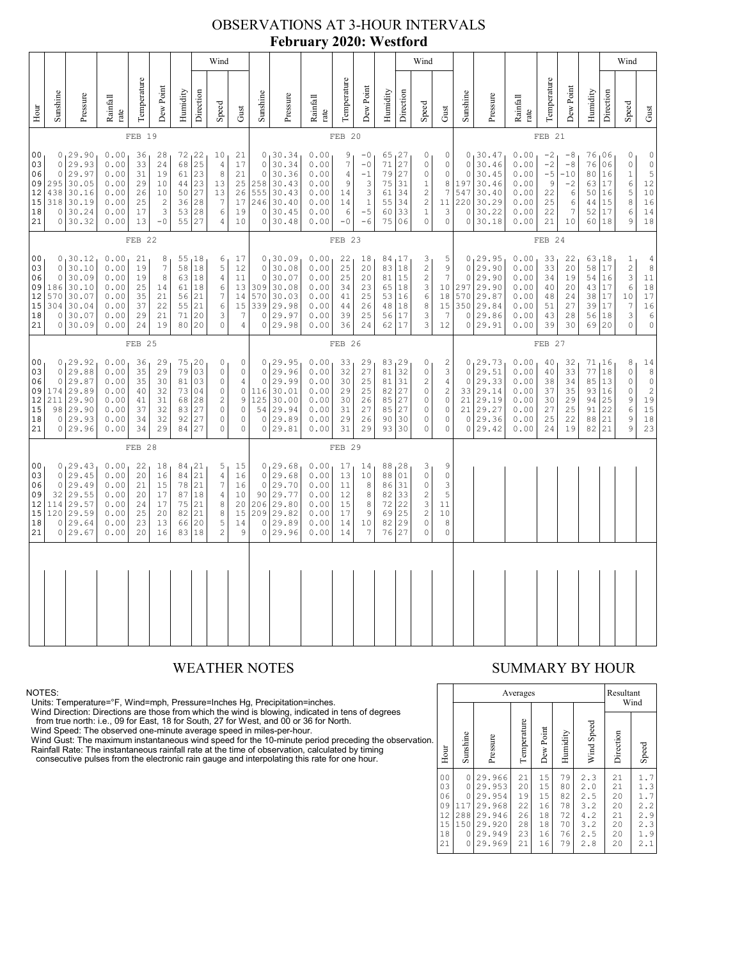### OBSERVATIONS AT 3-HOUR INTERVALS **February 2020: Westford**

|                                                                                                                                                                                                                                                                                                                                                                                                                                                                                                                                        |                                              |                                                                                  |                                                              |                                              |                                                          |                                              |                                                           | Wind                                                                                             |                                                                                    |                                                                  |                                                                             |                                                                                    |                                                  |                                                                  |                                                                                      |                                                                                            | Wind                                                                                            |                                                                                          |                                                              |                                                                            |                                                              |                                                    |                                              |                                                    |                                                                                        | Wind                                                                      |                                                                                         |
|----------------------------------------------------------------------------------------------------------------------------------------------------------------------------------------------------------------------------------------------------------------------------------------------------------------------------------------------------------------------------------------------------------------------------------------------------------------------------------------------------------------------------------------|----------------------------------------------|----------------------------------------------------------------------------------|--------------------------------------------------------------|----------------------------------------------|----------------------------------------------------------|----------------------------------------------|-----------------------------------------------------------|--------------------------------------------------------------------------------------------------|------------------------------------------------------------------------------------|------------------------------------------------------------------|-----------------------------------------------------------------------------|------------------------------------------------------------------------------------|--------------------------------------------------|------------------------------------------------------------------|--------------------------------------------------------------------------------------|--------------------------------------------------------------------------------------------|-------------------------------------------------------------------------------------------------|------------------------------------------------------------------------------------------|--------------------------------------------------------------|----------------------------------------------------------------------------|--------------------------------------------------------------|----------------------------------------------------|----------------------------------------------|----------------------------------------------------|----------------------------------------------------------------------------------------|---------------------------------------------------------------------------|-----------------------------------------------------------------------------------------|
| Hour                                                                                                                                                                                                                                                                                                                                                                                                                                                                                                                                   | Sunshine                                     | Pressure                                                                         | Rainfall<br>rate                                             | Temperature                                  | Dew Point                                                | Humidity                                     | Direction                                                 | Speed                                                                                            | Gust                                                                               | Sunshine                                                         | Pressure                                                                    | Rainfall<br>rate                                                                   | Temperature                                      | Dew Point                                                        | Humidity                                                                             | Direction                                                                                  | Speed                                                                                           | ${\rm Gust}$                                                                             | Sunshine                                                     | Pressure                                                                   | Rainfall<br>rate                                             | Temperature                                        | Dew Point                                    | Humidity                                           | Direction                                                                              | Speed                                                                     | Gust                                                                                    |
|                                                                                                                                                                                                                                                                                                                                                                                                                                                                                                                                        |                                              |                                                                                  |                                                              | FEB 19                                       |                                                          |                                              |                                                           |                                                                                                  |                                                                                    |                                                                  |                                                                             |                                                                                    | FEB 20                                           |                                                                  |                                                                                      |                                                                                            |                                                                                                 |                                                                                          |                                                              |                                                                            |                                                              | FEB 21                                             |                                              |                                                    |                                                                                        |                                                                           |                                                                                         |
| 00<br>0, 29.90<br>0.00<br>72, 22<br>36<br>28<br>10<br>25<br>29.93<br>0.00<br>68<br>03<br>$\circ$<br>33<br>24<br>$\sqrt{4}$<br>29.97<br>23<br>$\,8\,$<br>06<br>$\circ$<br>0.00<br>31<br>19<br>61<br>23<br>09<br>295<br>30.05<br>0.00<br>29<br>10<br>44<br>13<br>12<br>27<br>438<br>30.16<br>0.00<br>10<br>13<br>26<br>50<br>$2\,8$<br>$7\phantom{.0}$<br>15<br>318 30.19<br>0.00<br>25<br>$\sqrt{2}$<br>36<br>3<br>0.00<br>28<br>18<br>30.24<br>17<br>53<br>6<br>0<br>27<br>$-0$<br>55<br>21<br>0 30.32<br>0.00<br>13<br>$\overline{4}$ |                                              |                                                                                  |                                                              |                                              |                                                          |                                              | 21<br>17<br>21<br>25<br>26<br>17<br>19<br>10              | $\circ$<br>$\Omega$<br>258<br>555<br>246<br>$\mathbb O$                                          | 0, 30.34<br>30.34<br>30.36<br>30.43<br>30.43<br>30.40<br>30.45<br>0 30.48          | 0.00<br>0.00<br>0.00<br>0.00<br>0.00<br>0.00<br>0.00<br>0.00     | 9<br>7<br>$\sqrt{4}$<br>9<br>14<br>14<br>$\epsilon$<br>$-0$                 | $-0$<br>$-0$<br>$-1$<br>$\ensuremath{\mathsf{3}}$<br>$\frac{3}{1}$<br>$-5$<br>$-6$ | 65, 27<br>71<br>79<br>75<br>61<br>55<br>60<br>75 | 27<br>27<br>31<br>34<br>34<br>33<br>06                           | 0<br>$\circ$<br>0<br>$\,1$<br>$\overline{c}$<br>$\sqrt{2}$<br>$\,1\,$<br>$\mathbf 0$ | 0<br>$\mathbb O$<br>$\mathbb O$<br>8<br>$\boldsymbol{7}$<br>11<br>3<br>$\mathsf{O}\xspace$ | $\circ$<br>$\Omega$<br>197<br>547<br>220<br>$\circ$<br>$\circ$                                  | 0, 30.47<br>30.46<br>30.45<br>30.46<br>30.40<br>30.29<br>30.22<br>30.18                  | 0.00<br>0.00<br>0.00<br>0.00<br>0.00<br>0.00<br>0.00<br>0.00 | $-2$<br>$-2$<br>$-5$<br>9<br>22<br>25<br>22<br>21                          | $-8$<br>$-8$<br>$-10$<br>$-2$<br>6<br>6<br>7<br>10           | 76,06<br>76<br>80<br>63<br>50<br>44<br>52<br>60 18 | 06<br>16<br>17<br>16<br>15<br>17             | 0<br>$\circ$<br>$\,1\,$<br>6<br>5<br>8<br>6<br>9   | $\mathbb O$<br>$\begin{array}{c}\n0 \\ 5\n\end{array}$<br>12<br>$10$<br>16<br>14<br>18 |                                                                           |                                                                                         |
| FEB 22                                                                                                                                                                                                                                                                                                                                                                                                                                                                                                                                 |                                              |                                                                                  |                                                              |                                              |                                                          |                                              |                                                           | FEB 23                                                                                           |                                                                                    |                                                                  |                                                                             |                                                                                    |                                                  |                                                                  |                                                                                      |                                                                                            |                                                                                                 |                                                                                          | FEB 24                                                       |                                                                            |                                                              |                                                    |                                              |                                                    |                                                                                        |                                                                           |                                                                                         |
| 00<br>03<br>06<br>09<br>12<br>15<br>18<br>21                                                                                                                                                                                                                                                                                                                                                                                                                                                                                           | $\circ$<br>$\circ$<br>186<br>570<br>304<br>0 | 0, 30.12<br>30.10<br>30.09<br>30.10<br>30.07<br>30.04<br>30.07<br>0 30.09        | 0.00<br>0.00<br>0.00<br>0.00<br>0.00<br>0.00<br>0.00<br>0.00 | 21<br>19<br>19<br>25<br>35<br>37<br>29<br>24 | 8<br>$\boldsymbol{7}$<br>8<br>14<br>21<br>22<br>21<br>19 | 55<br>58<br>63<br>61<br>56<br>55<br>71<br>80 | <sub>1</sub> 18<br>18<br>18<br>18<br>21<br>21<br>20<br>20 | 6<br>$\mathsf S$<br>$\overline{4}$<br>6<br>7<br>6<br>3<br>$\Omega$                               | 17<br>12<br>11<br>13<br>14<br>15<br>7<br>4                                         | $\circ$<br>$\circ$<br>309<br>570<br>339<br>$\circ$               | 0, 30.09<br>30.08<br>30.07<br>30.08<br>30.03<br>29.98<br>29.97<br>0 29.98   | 0.00<br>0.00<br>0.00<br>0.00<br>0.00<br>0.00<br>0.00<br>0.00                       | 22<br>25<br>25<br>34<br>41<br>44<br>39<br>36     | 18<br>20<br>20<br>23<br>25<br>26<br>25<br>24                     | 84,17<br>83 18<br>81<br>65 18<br>53 16<br>48<br>56<br>62 17                          | 15<br> 18<br>17                                                                            | $\frac{3}{2}$<br>$\overline{c}$<br>3<br>6<br>8<br>3<br>3                                        | 5<br>9<br>$\boldsymbol{7}$<br>10<br>18<br>15<br>7<br>12                                  | $\circ$<br>$\circ$<br>297<br>570<br>350<br>$\circ$           | 0, 29.95<br>29.90<br>29.90<br>29.90<br>29.87<br>29.84<br>29.86<br>0 29.91  | 0.00<br>0.00<br>0.00<br>0.00<br>0.00<br>0.00<br>0.00<br>0.00 | 33<br>33<br>34<br>40<br>48<br>51<br>43<br>39       | 22<br>20<br>19<br>20<br>24<br>27<br>28<br>30 | 63,18<br>58<br>54<br>43<br>38<br>39<br>56<br>69 20 | 17<br>16<br>17<br>17<br>17<br>18                                                       | $\frac{1}{2}$<br>$\mathsf 3$<br>$\epsilon$<br>10<br>7<br>3<br>$\mathbf 0$ | $\frac{4}{8}$<br>$11\,$<br>18<br>$\overline{17}$<br>$16$<br>$\epsilon$<br>$\circ$       |
|                                                                                                                                                                                                                                                                                                                                                                                                                                                                                                                                        |                                              |                                                                                  |                                                              | FEB <sub>25</sub>                            |                                                          |                                              |                                                           |                                                                                                  |                                                                                    | FEB 26                                                           |                                                                             |                                                                                    |                                                  |                                                                  |                                                                                      |                                                                                            |                                                                                                 |                                                                                          |                                                              | FEB 27                                                                     |                                                              |                                                    |                                              |                                                    |                                                                                        |                                                                           |                                                                                         |
| 00<br>03<br>06<br>09<br>12<br>15<br>18<br>21                                                                                                                                                                                                                                                                                                                                                                                                                                                                                           | 0<br>174<br>211                              | 0, 29.92<br>0 29.88<br>29.87<br>29.89<br>29.90<br>98 29.90<br>0 29.93<br>0 29.96 | 0.00<br>0.00<br>0.00<br>0.00<br>0.00<br>0.00<br>0.00<br>0.00 | 36<br>35<br>35<br>40<br>41<br>37<br>34<br>34 | 29<br>29<br>30<br>32<br>31<br>32<br>32<br>29             | 79<br>81<br>73<br>68<br>83<br>92<br>84       | 75, 20<br>03<br>03<br>04<br>28<br>27<br>27<br>27          | 0<br>$\circ$<br>$\mathbb O$<br>$\circ$<br>$\sqrt{2}$<br>$\mathbb O$<br>$\circ$<br>$\Omega$       | 0<br>$\circ$<br>4<br>$\mathbb O$<br>$\,9$<br>$\mathbb O$<br>$\circ$<br>$\mathbb O$ | $\circ$<br>$\mathbf 0$<br>116<br>125<br>54<br>$\circ$<br>$\circ$ | 0, 29.95<br>29.96<br>29.99<br>30.01<br>30.00<br>29.94<br>29.89<br>29.81     | 0.00<br>0.00<br>0.00<br>0.00<br>0.00<br>0.00<br>0.00<br>0.00                       | 33<br>32<br>30<br>29<br>30<br>31<br>29<br>31     | 29<br>27<br>25<br>25<br>26<br>27<br>26<br>29                     | 83, 29<br>81<br>81<br>82<br>85<br>85<br>90<br>93 30                                  | 32<br>31<br> 27<br> 27<br> 27<br>30                                                        | 0<br>$\circ$<br>$\overline{c}$<br>$\circ$<br>$\mathbb O$<br>0<br>$\circ$<br>$\mathsf{O}\xspace$ | 2<br>3<br>$\overline{4}$<br>$\sqrt{2}$<br>$\mathbb O$<br>0<br>$\mathbb O$<br>$\mathbb O$ | $\circ$<br>$\circ$<br>21<br>21<br>0<br>$\Omega$              | 0, 29.73<br>29.51<br>29.33<br>33 29.14<br>29.19<br>29.27<br>29.36<br>29.42 | 0.00<br>0.00<br>0.00<br>0.00<br>0.00<br>0.00<br>0.00<br>0.00 | 40<br>40<br>38<br>37<br>30<br>27<br>25<br>24       | 32<br>33<br>34<br>35<br>29<br>25<br>22<br>19 | 71, 16<br>77<br>85<br>93<br>94<br>91<br>88<br>82   | 18<br>13<br>16<br>25<br>22<br>21<br>21                                                 | 8<br>$\circ$<br>$\mathbb O$<br>$\mathbf 0$<br>$\mathsf 9$<br>6<br>9<br>9  | 14<br>$\,$ 8 $\,$<br>$\tilde{0}$<br>$\overline{\mathbf{c}}$<br>19<br>15<br>$18\,$<br>23 |
|                                                                                                                                                                                                                                                                                                                                                                                                                                                                                                                                        |                                              |                                                                                  |                                                              | FEB 28                                       |                                                          |                                              |                                                           |                                                                                                  |                                                                                    |                                                                  |                                                                             |                                                                                    | FEB 29                                           |                                                                  |                                                                                      |                                                                                            |                                                                                                 |                                                                                          |                                                              |                                                                            |                                                              |                                                    |                                              |                                                    |                                                                                        |                                                                           |                                                                                         |
| 00<br>03<br>06<br>09<br>12<br>15<br>18<br>21                                                                                                                                                                                                                                                                                                                                                                                                                                                                                           | $\circ$<br>$\circ$<br>32<br>114<br>0         | 0, 29.43<br>29.45<br>29.49<br>29.55<br>29.57<br>120 29.59<br>29.64<br>0 29.67    | 0.00<br>0.00<br>0.00<br>0.00<br>0.00<br>0.00<br>0.00<br>0.00 | 22<br>20<br>21<br>20<br>24<br>25<br>23<br>20 | 18<br>16<br>15<br>17<br>17<br>20<br>13<br>16             | 84<br>78<br>75<br>82<br>66<br>83             | 84, 21<br>21<br>21<br>87 18<br>21<br>21<br>20<br>18       | 5<br>$\overline{4}$<br>$\boldsymbol{7}$<br>$\overline{4}$<br>8<br>$\,8\,$<br>5<br>$\overline{c}$ | $15\,$<br>16<br>16<br>10<br>20<br>15<br>14<br>$\overline{9}$                       | $\circ$<br>$\circ$<br>90<br>206<br>0<br>0                        | 0, 29.68<br>29.68<br>29.70<br>29.77<br>29.80<br>209 29.82<br>29.89<br>29.96 | 0.00<br>0.00<br>0.00<br>0.00<br>0.00<br>0.00<br>0.00<br>0.00                       | 17<br>13<br>11<br>12<br>15<br>17<br>14<br>14     | 14<br>10<br>$\,8\,$<br>8<br>$\,8\,$<br>$\overline{9}$<br>10<br>7 | 88, 28<br>88<br>86 31<br>82 33<br>72<br>69<br>82<br>76                               | 01<br>22<br>25<br>29<br>27                                                                 | 3<br>$\mathbb O$<br>$\mathbb O$<br>$\sqrt{2}$<br>$\mathbf{3}$<br>$\sqrt{2}$<br>$\circ$<br>0     | 9<br>$\circ$<br>3<br>5<br>11<br>10<br>$\,8\,$<br>$\circ$                                 |                                                              |                                                                            |                                                              |                                                    |                                              |                                                    |                                                                                        |                                                                           |                                                                                         |
|                                                                                                                                                                                                                                                                                                                                                                                                                                                                                                                                        |                                              |                                                                                  |                                                              |                                              |                                                          |                                              |                                                           |                                                                                                  |                                                                                    |                                                                  |                                                                             |                                                                                    |                                                  |                                                                  |                                                                                      |                                                                                            |                                                                                                 |                                                                                          |                                                              |                                                                            |                                                              |                                                    |                                              |                                                    |                                                                                        |                                                                           |                                                                                         |
|                                                                                                                                                                                                                                                                                                                                                                                                                                                                                                                                        |                                              |                                                                                  |                                                              |                                              |                                                          |                                              |                                                           |                                                                                                  |                                                                                    |                                                                  |                                                                             |                                                                                    |                                                  |                                                                  |                                                                                      |                                                                                            |                                                                                                 |                                                                                          |                                                              |                                                                            |                                                              |                                                    |                                              |                                                    |                                                                                        |                                                                           |                                                                                         |

NOTES:<br>Units: Temperature=°F, Wind=mph, Pressure=Inches Hg, Precipitation=inches.<br>Units: Temperature=°F, Wind=mph, Pressure=Inches Hg, Precipitation=inches.<br>
Yind Direction: Directions are those from which the wind is blow

### WEATHER NOTES SUMMARY BY HOUR

|    |                                                          |                                                          | Resultant<br>Wind                                                            |                                              |                                              |                                              |                                                      |                                              |                                                      |
|----|----------------------------------------------------------|----------------------------------------------------------|------------------------------------------------------------------------------|----------------------------------------------|----------------------------------------------|----------------------------------------------|------------------------------------------------------|----------------------------------------------|------------------------------------------------------|
| ì. | Hour                                                     | Sunshine                                                 | Pressure                                                                     | Temperature                                  | Dew Point                                    | Humidity                                     | Wind Speed                                           | Direction                                    | Speed                                                |
|    | 0 <sub>0</sub><br>03<br>06<br>09<br>12<br>15<br>18<br>21 | 0<br>0<br>$\Omega$<br>117<br>288<br>150<br>0<br>$\Omega$ | 29.966<br>29.953<br>29.954<br>29.968<br>29.946<br>29.920<br>29.949<br>29.969 | 21<br>20<br>19<br>22<br>26<br>28<br>23<br>21 | 15<br>15<br>15<br>16<br>18<br>18<br>16<br>16 | 79<br>80<br>82<br>78<br>72<br>70<br>76<br>79 | 2.3<br>2.0<br>2.5<br>3.2<br>4.2<br>3.2<br>2.5<br>2.8 | 21<br>21<br>20<br>20<br>21<br>20<br>20<br>20 | 1.7<br>1.3<br>1.7<br>2.2<br>2.9<br>2.3<br>1.9<br>2.1 |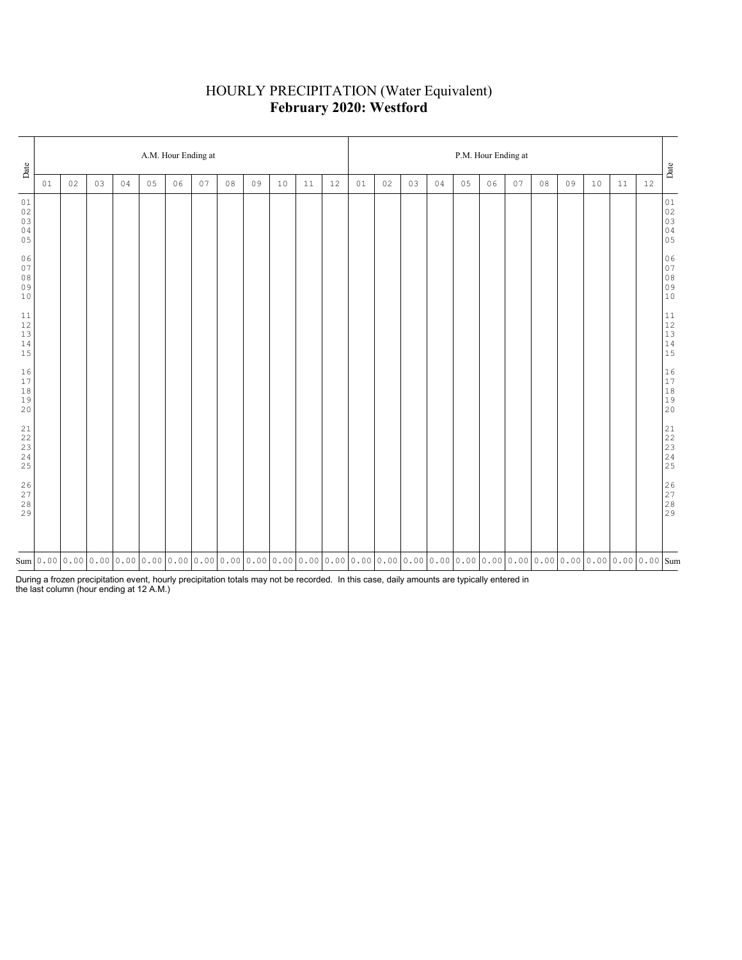# HOURLY PRECIPITATION (Water Equivalent) **February 2020: Westford**

| Date                                                               |    |    |    |    |    |    | A.M. Hour Ending at |    |                                                                                                                                                                                                                                                                                                                                                                                                                                          |    |    |    | P.M. Hour Ending at |    |    |    |    |    |    |    |    |    |    |    |                                                            |  |
|--------------------------------------------------------------------|----|----|----|----|----|----|---------------------|----|------------------------------------------------------------------------------------------------------------------------------------------------------------------------------------------------------------------------------------------------------------------------------------------------------------------------------------------------------------------------------------------------------------------------------------------|----|----|----|---------------------|----|----|----|----|----|----|----|----|----|----|----|------------------------------------------------------------|--|
|                                                                    | 01 | 02 | 03 | 04 | 05 | 06 | 07                  | 08 | 09                                                                                                                                                                                                                                                                                                                                                                                                                                       | 10 | 11 | 12 | 01                  | 02 | 03 | 04 | 05 | 06 | 07 | 08 | 09 | 10 | 11 | 12 | Date                                                       |  |
| 01<br>$02\,$<br>03<br>04<br>05                                     |    |    |    |    |    |    |                     |    |                                                                                                                                                                                                                                                                                                                                                                                                                                          |    |    |    |                     |    |    |    |    |    |    |    |    |    |    |    | 01<br>02<br>03<br>03<br>04<br>05                           |  |
| 06<br>07<br>$0\,8$<br>09<br>10                                     |    |    |    |    |    |    |                     |    |                                                                                                                                                                                                                                                                                                                                                                                                                                          |    |    |    |                     |    |    |    |    |    |    |    |    |    |    |    | $06$<br>07<br>08<br>09<br>09<br>10                         |  |
| $1\,1$<br>$12\,$<br>$13\,$<br>$1\,4$<br>15                         |    |    |    |    |    |    |                     |    |                                                                                                                                                                                                                                                                                                                                                                                                                                          |    |    |    |                     |    |    |    |    |    |    |    |    |    |    |    | $\begin{array}{c} 11 \\ 12 \\ 13 \\ 14 \\ 15 \end{array}$  |  |
| 16<br>17<br>$1\,8$<br>19<br>20                                     |    |    |    |    |    |    |                     |    |                                                                                                                                                                                                                                                                                                                                                                                                                                          |    |    |    |                     |    |    |    |    |    |    |    |    |    |    |    | $\begin{array}{ c} 16 \\ 17 \\ 18 \\ 19 \\ 20 \end{array}$ |  |
| 21<br>$2\sqrt{2}$<br>$\begin{array}{c} 23 \\ 24 \end{array}$<br>25 |    |    |    |    |    |    |                     |    |                                                                                                                                                                                                                                                                                                                                                                                                                                          |    |    |    |                     |    |    |    |    |    |    |    |    |    |    |    |                                                            |  |
| $\begin{array}{c} 2 \, 6 \\ 2 \, 7 \\ 2 \, 8 \end{array}$<br>29    |    |    |    |    |    |    |                     |    |                                                                                                                                                                                                                                                                                                                                                                                                                                          |    |    |    |                     |    |    |    |    |    |    |    |    |    |    |    | $26$<br>$27$<br>$28$<br>$29$                               |  |
|                                                                    |    |    |    |    |    |    |                     |    | $\text{Sum}[\text{o.} \text{o} 0   \text{o.} \text{o} 0   \text{o.} \text{o} 1   \text{o.} \text{o} 1   \text{o.} \text{o} 0   \text{o.} \text{o} 0   \text{o.} \text{o} 1   \text{o.} \text{o} 0   \text{o.} \text{o} 0   \text{o.} \text{o} 0   \text{o.} \text{o} 0   \text{o.} \text{o} 0   \text{o.} \text{o} 0   \text{o.} \text{o} 1   \text{o.} \text{o} 1   \text{o.} \text{o} 1   \text{o.} \text{o} 1   \text{o.} \text{o} 1$ |    |    |    |                     |    |    |    |    |    |    |    |    |    |    |    |                                                            |  |

During a frozen precipitation event, hourly precipitation totals may not be recorded. In this case, daily amounts are typically entered in the last column (hour ending at 12 A.M.)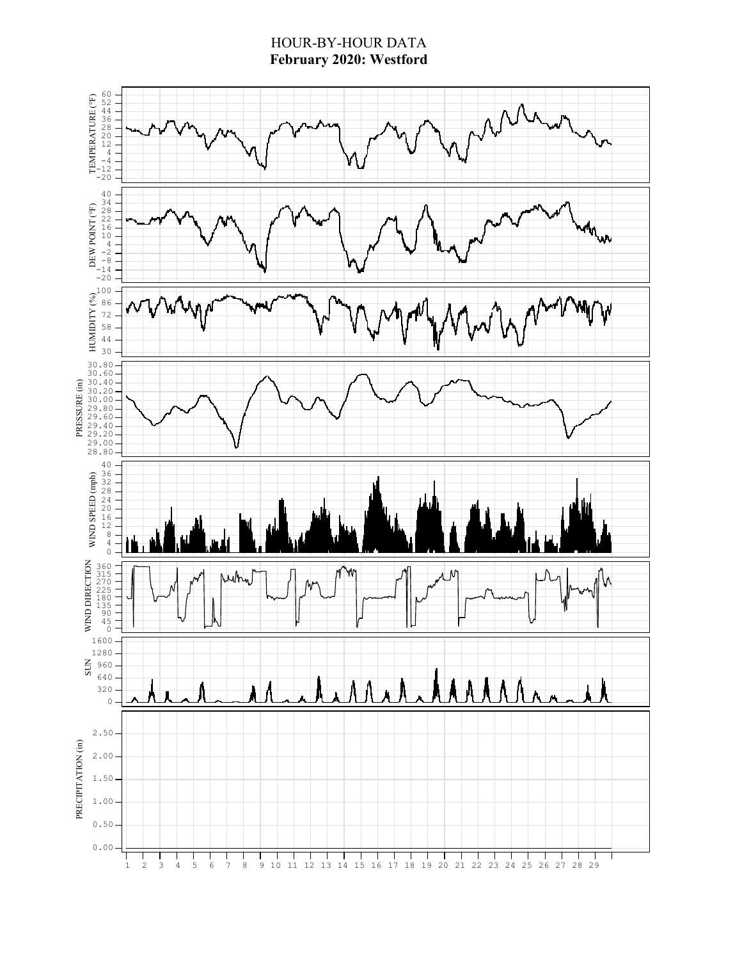# HOUR-BY-HOUR DATA **February 2020: Westford**